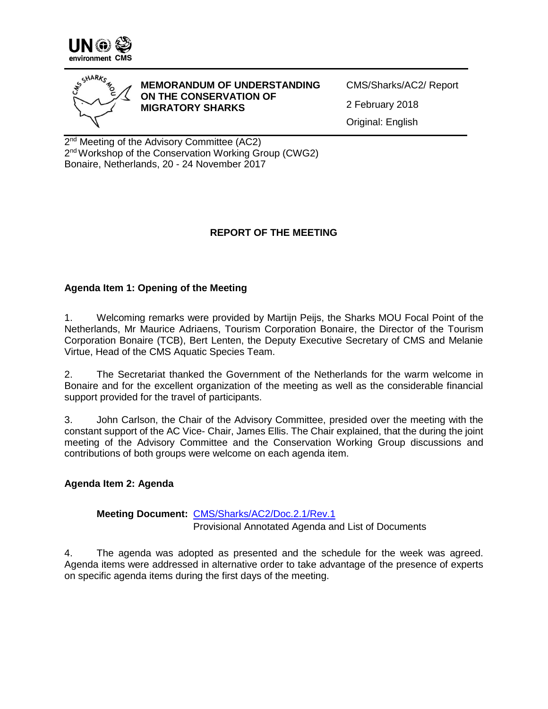



**MEMORANDUM OF UNDERSTANDING ON THE CONSERVATION OF MIGRATORY SHARKS** 

CMS/Sharks/AC2/ Report 2 February 2018 Original: English

2<sup>nd</sup> Meeting of the Advisory Committee (AC2) 2<sup>nd</sup> Workshop of the Conservation Working Group (CWG2) Bonaire, Netherlands, 20 - 24 November 2017

# **REPORT OF THE MEETING**

# **Agenda Item 1: Opening of the Meeting**

1. Welcoming remarks were provided by Martijn Peijs, the Sharks MOU Focal Point of the Netherlands, Mr Maurice Adriaens, Tourism Corporation Bonaire, the Director of the Tourism Corporation Bonaire (TCB), Bert Lenten, the Deputy Executive Secretary of CMS and Melanie Virtue, Head of the CMS Aquatic Species Team.

2. The Secretariat thanked the Government of the Netherlands for the warm welcome in Bonaire and for the excellent organization of the meeting as well as the considerable financial support provided for the travel of participants.

3. John Carlson, the Chair of the Advisory Committee, presided over the meeting with the constant support of the AC Vice- Chair, James Ellis. The Chair explained, that the during the joint meeting of the Advisory Committee and the Conservation Working Group discussions and contributions of both groups were welcome on each agenda item.

## **Agenda Item 2: Agenda**

## **Meeting Document:** [CMS/Sharks/AC2/Doc.2.1/Rev.1](http://cms.int/sharks/sites/default/files/document/CWG2_AC_2_Doc_2_1_Rev_1_Agenda.pdf) Provisional Annotated Agenda and List of Documents

4. The agenda was adopted as presented and the schedule for the week was agreed. Agenda items were addressed in alternative order to take advantage of the presence of experts on specific agenda items during the first days of the meeting.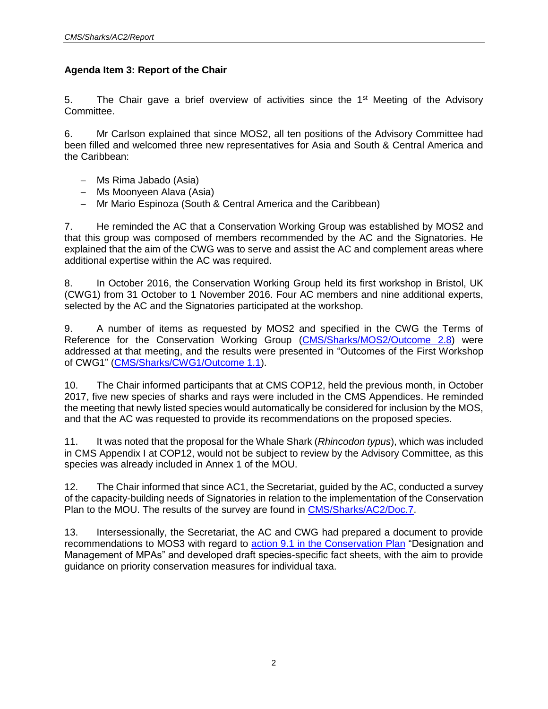# **Agenda Item 3: Report of the Chair**

5. The Chair gave a brief overview of activities since the  $1<sup>st</sup>$  Meeting of the Advisory Committee.

6. Mr Carlson explained that since MOS2, all ten positions of the Advisory Committee had been filled and welcomed three new representatives for Asia and South & Central America and the Caribbean:

- Ms Rima Jabado (Asia)
- Ms Moonyeen Alava (Asia)
- Mr Mario Espinoza (South & Central America and the Caribbean)

7. He reminded the AC that a Conservation Working Group was established by MOS2 and that this group was composed of members recommended by the AC and the Signatories. He explained that the aim of the CWG was to serve and assist the AC and complement areas where additional expertise within the AC was required.

8. In October 2016, the Conservation Working Group held its first workshop in Bristol, UK (CWG1) from 31 October to 1 November 2016. Four AC members and nine additional experts, selected by the AC and the Signatories participated at the workshop.

9. A number of items as requested by MOS2 and specified in the CWG the Terms of Reference for the Conservation Working Group [\(CMS/Sharks/MOS2/Outcome](http://cms.int/sharks/sites/default/files/document/CMS_Sharks_MOS2_Outcome%208_Conservation%20Working%20Group.pdf) 2.8) were addressed at that meeting, and the results were presented in "Outcomes of the First Workshop of CWG1" [\(CMS/Sharks/CWG1/Outcome 1.1\)](http://www.cms.int/sharks/sites/default/files/document/CMS_Sharks_CWG1_outcome_1_1_final.pdf).

10. The Chair informed participants that at CMS COP12, held the previous month, in October 2017, five new species of sharks and rays were included in the CMS Appendices. He reminded the meeting that newly listed species would automatically be considered for inclusion by the MOS, and that the AC was requested to provide its recommendations on the proposed species.

11. It was noted that the proposal for the Whale Shark (*Rhincodon typus*), which was included in CMS Appendix I at COP12, would not be subject to review by the Advisory Committee, as this species was already included in Annex 1 of the MOU.

12. The Chair informed that since AC1, the Secretariat, guided by the AC, conducted a survey of the capacity-building needs of Signatories in relation to the implementation of the Conservation Plan to the MOU. The results of the survey are found in [CMS/Sharks/AC2/Doc.7.](http://cms.int/sharks/en/document/capacity-building-needs-signatories-relation-implementation-conservation-plan-mou)

13. Intersessionally, the Secretariat, the AC and CWG had prepared a document to provide recommendations to MOS3 with regard to [action 9.1 in the Conservation Plan](http://cms.int/sharks/sites/default/files/basic_page_documents/Annex%203%20to%20the%20MOU_ConservationPlan.pdf) "Designation and Management of MPAs" and developed draft species-specific fact sheets, with the aim to provide guidance on priority conservation measures for individual taxa.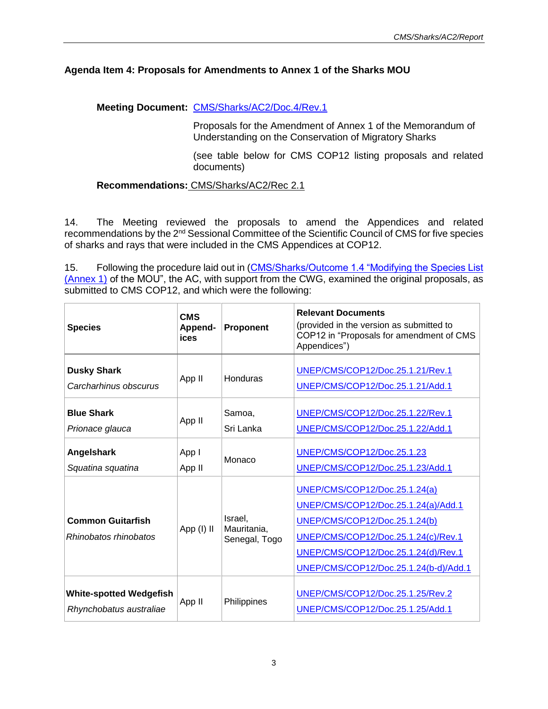## **Agenda Item 4: Proposals for Amendments to Annex 1 of the Sharks MOU**

# **Meeting Document:** [CMS/Sharks/AC2/Doc.4/Rev.1](http://cms.int/sharks/sites/default/files/document/CMS_Sharks_AC2_Doc_4_Rev_1_Listing%20proposals.pdf)

Proposals for the Amendment of Annex 1 of the Memorandum of Understanding on the Conservation of Migratory Sharks

(see table below for CMS COP12 listing proposals and related documents)

## **Recommendations:** CMS/Sharks/AC2/Rec 2.1

14. The Meeting reviewed the proposals to amend the Appendices and related recommendations by the 2nd Sessional Committee of the Scientific Council of CMS for five species of sharks and rays that were included in the CMS Appendices at COP12.

15. Following the procedure laid out in (CMS/Sharks/Outcome 1.4 "Modifying the Species List [\(Annex 1\)](http://www.cms.int/sharks/en/document/modifying-species-list-annex1-sharks-mou) of the MOU", the AC, with support from the CWG, examined the original proposals, as submitted to CMS COP12, and which were the following:

| <b>Species</b>                                            | <b>CMS</b><br>Append-<br>ices | Proponent                               | <b>Relevant Documents</b><br>(provided in the version as submitted to<br>COP12 in "Proposals for amendment of CMS<br>Appendices")                                                                                            |
|-----------------------------------------------------------|-------------------------------|-----------------------------------------|------------------------------------------------------------------------------------------------------------------------------------------------------------------------------------------------------------------------------|
| <b>Dusky Shark</b><br>Carcharhinus obscurus               | App II                        | <b>Honduras</b>                         | UNEP/CMS/COP12/Doc.25.1.21/Rev.1<br>UNEP/CMS/COP12/Doc.25.1.21/Add.1                                                                                                                                                         |
| <b>Blue Shark</b><br>Prionace glauca                      | App II                        | Samoa,<br>Sri Lanka                     | UNEP/CMS/COP12/Doc.25.1.22/Rev.1<br>UNEP/CMS/COP12/Doc.25.1.22/Add.1                                                                                                                                                         |
| Angelshark<br>Squatina squatina                           | App I<br>App II               | Monaco                                  | UNEP/CMS/COP12/Doc.25.1.23<br>UNEP/CMS/COP12/Doc.25.1.23/Add.1                                                                                                                                                               |
| <b>Common Guitarfish</b><br>Rhinobatos rhinobatos         | App (I) II                    | Israel,<br>Mauritania,<br>Senegal, Togo | UNEP/CMS/COP12/Doc.25.1.24(a)<br>UNEP/CMS/COP12/Doc.25.1.24(a)/Add.1<br>UNEP/CMS/COP12/Doc.25.1.24(b)<br>UNEP/CMS/COP12/Doc.25.1.24(c)/Rev.1<br>UNEP/CMS/COP12/Doc.25.1.24(d)/Rev.1<br>UNEP/CMS/COP12/Doc.25.1.24(b-d)/Add.1 |
| <b>White-spotted Wedgefish</b><br>Rhynchobatus australiae | App II                        | Philippines                             | UNEP/CMS/COP12/Doc.25.1.25/Rev.2<br>UNEP/CMS/COP12/Doc.25.1.25/Add.1                                                                                                                                                         |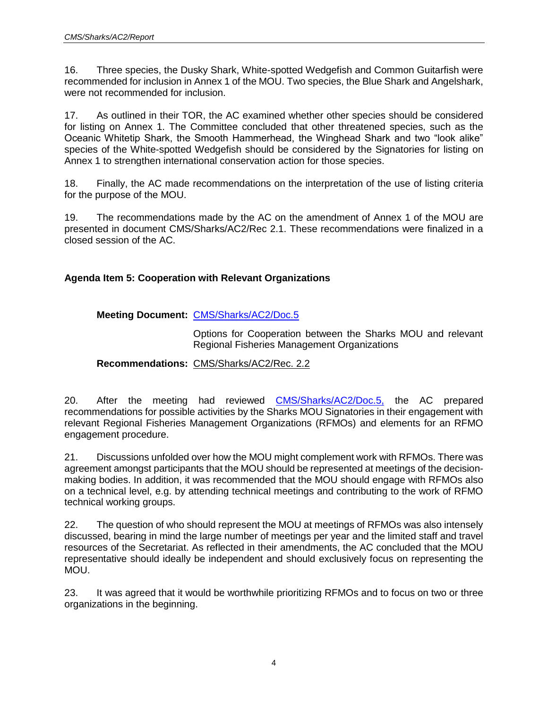16. Three species, the Dusky Shark, White-spotted Wedgefish and Common Guitarfish were recommended for inclusion in Annex 1 of the MOU. Two species, the Blue Shark and Angelshark, were not recommended for inclusion.

17. As outlined in their TOR, the AC examined whether other species should be considered for listing on Annex 1. The Committee concluded that other threatened species, such as the Oceanic Whitetip Shark, the Smooth Hammerhead, the Winghead Shark and two "look alike" species of the White-spotted Wedgefish should be considered by the Signatories for listing on Annex 1 to strengthen international conservation action for those species.

18. Finally, the AC made recommendations on the interpretation of the use of listing criteria for the purpose of the MOU.

19. The recommendations made by the AC on the amendment of Annex 1 of the MOU are presented in document CMS/Sharks/AC2/Rec 2.1. These recommendations were finalized in a closed session of the AC.

## **Agenda Item 5: Cooperation with Relevant Organizations**

## **Meeting Document:** [CMS/Sharks/AC2/Doc.5](http://cms.int/sharks/sites/default/files/document/CMS_Sharks_AC2_Doc_5_RFMOs_0.pdf)

Options for Cooperation between the Sharks MOU and relevant Regional Fisheries Management Organizations

## **Recommendations:** CMS/Sharks/AC2/Rec. 2.2

20. After the meeting had reviewed [CMS/Sharks/AC2/Doc.5,](http://cms.int/sharks/sites/default/files/document/CMS_Sharks_AC2_Doc_5_RFMOs_0.pdf) the AC prepared recommendations for possible activities by the Sharks MOU Signatories in their engagement with relevant Regional Fisheries Management Organizations (RFMOs) and elements for an RFMO engagement procedure.

21. Discussions unfolded over how the MOU might complement work with RFMOs. There was agreement amongst participants that the MOU should be represented at meetings of the decisionmaking bodies. In addition, it was recommended that the MOU should engage with RFMOs also on a technical level, e.g. by attending technical meetings and contributing to the work of RFMO technical working groups.

22. The question of who should represent the MOU at meetings of RFMOs was also intensely discussed, bearing in mind the large number of meetings per year and the limited staff and travel resources of the Secretariat. As reflected in their amendments, the AC concluded that the MOU representative should ideally be independent and should exclusively focus on representing the MOU.

23. It was agreed that it would be worthwhile prioritizing RFMOs and to focus on two or three organizations in the beginning.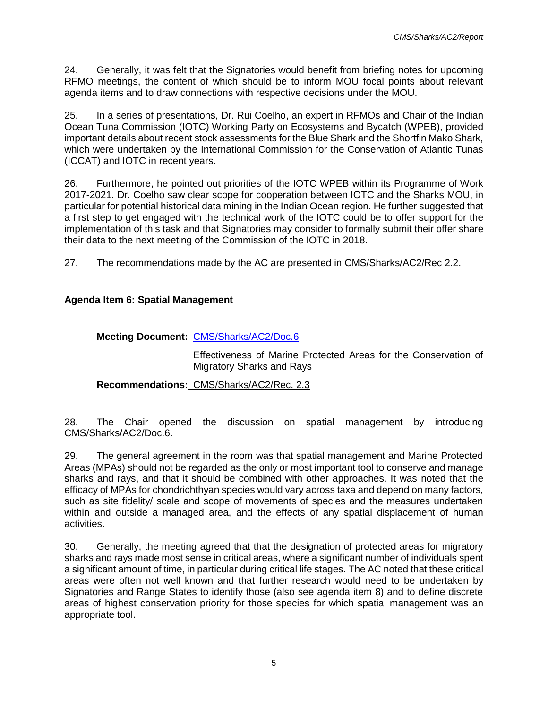24. Generally, it was felt that the Signatories would benefit from briefing notes for upcoming RFMO meetings, the content of which should be to inform MOU focal points about relevant agenda items and to draw connections with respective decisions under the MOU.

25. In a series of presentations, Dr. Rui Coelho, an expert in RFMOs and Chair of the Indian Ocean Tuna Commission (IOTC) Working Party on Ecosystems and Bycatch (WPEB), provided important details about recent stock assessments for the Blue Shark and the Shortfin Mako Shark, which were undertaken by the International Commission for the Conservation of Atlantic Tunas (ICCAT) and IOTC in recent years.

26. Furthermore, he pointed out priorities of the IOTC WPEB within its Programme of Work 2017-2021. Dr. Coelho saw clear scope for cooperation between IOTC and the Sharks MOU, in particular for potential historical data mining in the Indian Ocean region. He further suggested that a first step to get engaged with the technical work of the IOTC could be to offer support for the implementation of this task and that Signatories may consider to formally submit their offer share their data to the next meeting of the Commission of the IOTC in 2018.

27. The recommendations made by the AC are presented in CMS/Sharks/AC2/Rec 2.2.

# **Agenda Item 6: Spatial Management**

# **Meeting Document:** [CMS/Sharks/AC2/Doc.6](http://cms.int/sharks/sites/default/files/document/CMS_Sharks_AC2_Doc_6_Spatial%20management_0.pdf)

Effectiveness of Marine Protected Areas for the Conservation of Migratory Sharks and Rays

# **Recommendations:** CMS/Sharks/AC2/Rec. 2.3

28. The Chair opened the discussion on spatial management by introducing CMS/Sharks/AC2/Doc.6.

29. The general agreement in the room was that spatial management and Marine Protected Areas (MPAs) should not be regarded as the only or most important tool to conserve and manage sharks and rays, and that it should be combined with other approaches. It was noted that the efficacy of MPAs for chondrichthyan species would vary across taxa and depend on many factors, such as site fidelity/ scale and scope of movements of species and the measures undertaken within and outside a managed area, and the effects of any spatial displacement of human activities.

30. Generally, the meeting agreed that that the designation of protected areas for migratory sharks and rays made most sense in critical areas, where a significant number of individuals spent a significant amount of time, in particular during critical life stages. The AC noted that these critical areas were often not well known and that further research would need to be undertaken by Signatories and Range States to identify those (also see agenda item 8) and to define discrete areas of highest conservation priority for those species for which spatial management was an appropriate tool.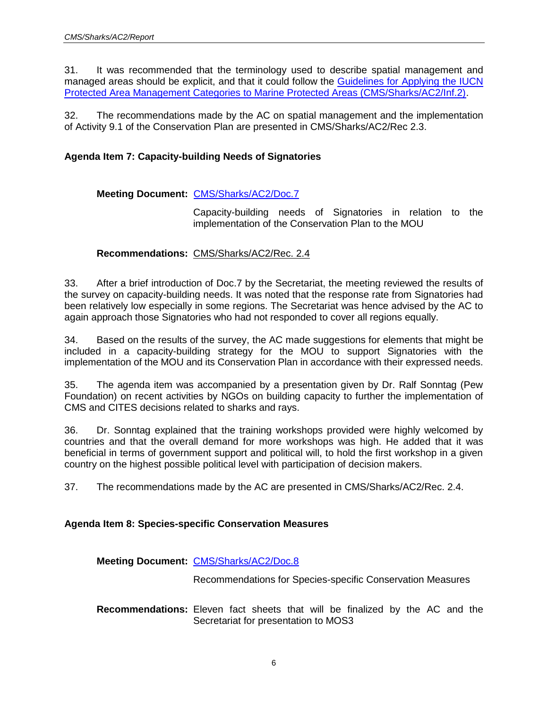31. It was recommended that the terminology used to describe spatial management and managed areas should be explicit, and that it could follow the [Guidelines for Applying the IUCN](http://www.cms.int/sharks/sites/default/files/document/uicn_categoriesamp_eng.pdf)  [Protected Area Management Categories to Marine Protected Areas \(CMS/Sharks/AC2/Inf.2\).](http://www.cms.int/sharks/sites/default/files/document/uicn_categoriesamp_eng.pdf)

32. The recommendations made by the AC on spatial management and the implementation of Activity 9.1 of the Conservation Plan are presented in CMS/Sharks/AC2/Rec 2.3.

## **Agenda Item 7: Capacity-building Needs of Signatories**

## **Meeting Document:** [CMS/Sharks/AC2/Doc.7](http://cms.int/sharks/sites/default/files/document/CMS_Sharks_AC2_Doc_7_Capacity%20needs.pdf)

Capacity-building needs of Signatories in relation to the implementation of the Conservation Plan to the MOU

## **Recommendations:** CMS/Sharks/AC2/Rec. 2.4

33. After a brief introduction of Doc.7 by the Secretariat, the meeting reviewed the results of the survey on capacity-building needs. It was noted that the response rate from Signatories had been relatively low especially in some regions. The Secretariat was hence advised by the AC to again approach those Signatories who had not responded to cover all regions equally.

34. Based on the results of the survey, the AC made suggestions for elements that might be included in a capacity-building strategy for the MOU to support Signatories with the implementation of the MOU and its Conservation Plan in accordance with their expressed needs.

35. The agenda item was accompanied by a presentation given by Dr. Ralf Sonntag (Pew Foundation) on recent activities by NGOs on building capacity to further the implementation of CMS and CITES decisions related to sharks and rays.

36. Dr. Sonntag explained that the training workshops provided were highly welcomed by countries and that the overall demand for more workshops was high. He added that it was beneficial in terms of government support and political will, to hold the first workshop in a given country on the highest possible political level with participation of decision makers.

37. The recommendations made by the AC are presented in CMS/Sharks/AC2/Rec. 2.4.

## **Agenda Item 8: Species-specific Conservation Measures**

## **Meeting Document:** [CMS/Sharks/AC2/Doc.8](http://cms.int/sharks/sites/default/files/document/CMS_Sharks_AC2_Doc_8_Conservation%20measures.pdf)

Recommendations for Species-specific Conservation Measures

**Recommendations:** Eleven fact sheets that will be finalized by the AC and the Secretariat for presentation to MOS3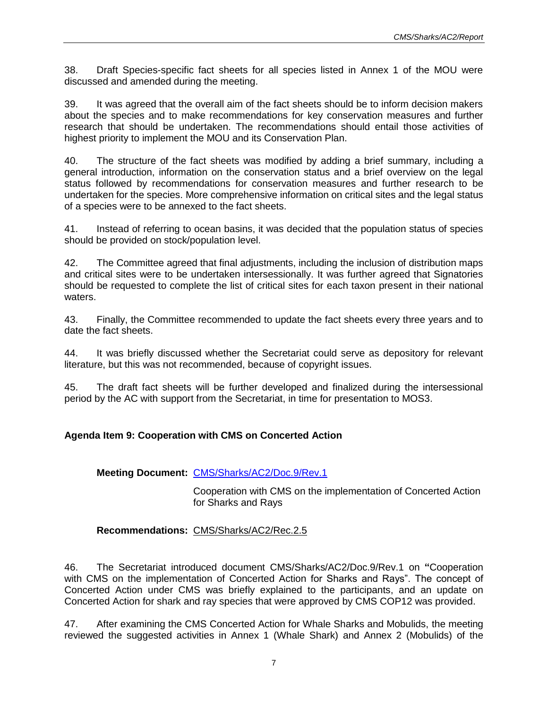38. Draft Species-specific fact sheets for all species listed in Annex 1 of the MOU were discussed and amended during the meeting.

39. It was agreed that the overall aim of the fact sheets should be to inform decision makers about the species and to make recommendations for key conservation measures and further research that should be undertaken. The recommendations should entail those activities of highest priority to implement the MOU and its Conservation Plan.

40. The structure of the fact sheets was modified by adding a brief summary, including a general introduction, information on the conservation status and a brief overview on the legal status followed by recommendations for conservation measures and further research to be undertaken for the species. More comprehensive information on critical sites and the legal status of a species were to be annexed to the fact sheets.

41. Instead of referring to ocean basins, it was decided that the population status of species should be provided on stock/population level.

42. The Committee agreed that final adjustments, including the inclusion of distribution maps and critical sites were to be undertaken intersessionally. It was further agreed that Signatories should be requested to complete the list of critical sites for each taxon present in their national waters.

43. Finally, the Committee recommended to update the fact sheets every three years and to date the fact sheets.

44. It was briefly discussed whether the Secretariat could serve as depository for relevant literature, but this was not recommended, because of copyright issues.

45. The draft fact sheets will be further developed and finalized during the intersessional period by the AC with support from the Secretariat, in time for presentation to MOS3.

# **Agenda Item 9: Cooperation with CMS on Concerted Action**

## **Meeting Document:** [CMS/Sharks/AC2/Doc.9/Rev.1](http://cms.int/sharks/sites/default/files/document/CMS_Sharks_AC2_Doc_9_Rev_1_Concerted%20Action.pdf)

Cooperation with CMS on the implementation of Concerted Action for Sharks and Rays

## **Recommendations:** CMS/Sharks/AC2/Rec.2.5

46. The Secretariat introduced document CMS/Sharks/AC2/Doc.9/Rev.1 on **"**Cooperation with CMS on the implementation of Concerted Action for Sharks and Rays". The concept of Concerted Action under CMS was briefly explained to the participants, and an update on Concerted Action for shark and ray species that were approved by CMS COP12 was provided.

47. After examining the CMS Concerted Action for Whale Sharks and Mobulids, the meeting reviewed the suggested activities in Annex 1 (Whale Shark) and Annex 2 (Mobulids) of the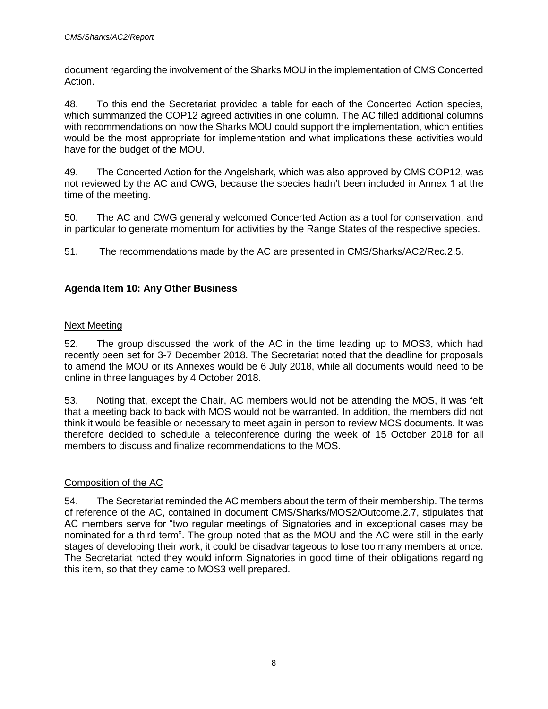document regarding the involvement of the Sharks MOU in the implementation of CMS Concerted Action.

48. To this end the Secretariat provided a table for each of the Concerted Action species, which summarized the COP12 agreed activities in one column. The AC filled additional columns with recommendations on how the Sharks MOU could support the implementation, which entities would be the most appropriate for implementation and what implications these activities would have for the budget of the MOU.

49. The Concerted Action for the Angelshark, which was also approved by CMS COP12, was not reviewed by the AC and CWG, because the species hadn't been included in Annex 1 at the time of the meeting.

50. The AC and CWG generally welcomed Concerted Action as a tool for conservation, and in particular to generate momentum for activities by the Range States of the respective species.

51. The recommendations made by the AC are presented in CMS/Sharks/AC2/Rec.2.5.

# **Agenda Item 10: Any Other Business**

## Next Meeting

52. The group discussed the work of the AC in the time leading up to MOS3, which had recently been set for 3-7 December 2018. The Secretariat noted that the deadline for proposals to amend the MOU or its Annexes would be 6 July 2018, while all documents would need to be online in three languages by 4 October 2018.

53. Noting that, except the Chair, AC members would not be attending the MOS, it was felt that a meeting back to back with MOS would not be warranted. In addition, the members did not think it would be feasible or necessary to meet again in person to review MOS documents. It was therefore decided to schedule a teleconference during the week of 15 October 2018 for all members to discuss and finalize recommendations to the MOS.

## Composition of the AC

54. The Secretariat reminded the AC members about the term of their membership. The terms of reference of the AC, contained in document CMS/Sharks/MOS2/Outcome.2.7, stipulates that AC members serve for "two regular meetings of Signatories and in exceptional cases may be nominated for a third term". The group noted that as the MOU and the AC were still in the early stages of developing their work, it could be disadvantageous to lose too many members at once. The Secretariat noted they would inform Signatories in good time of their obligations regarding this item, so that they came to MOS3 well prepared.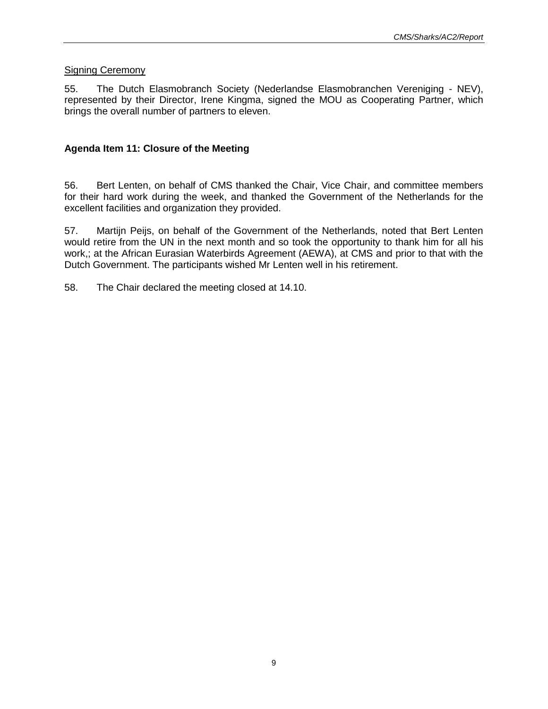## **Signing Ceremony**

55. The Dutch Elasmobranch Society (Nederlandse Elasmobranchen Vereniging - NEV), represented by their Director, Irene Kingma, signed the MOU as Cooperating Partner, which brings the overall number of partners to eleven.

## **Agenda Item 11: Closure of the Meeting**

56. Bert Lenten, on behalf of CMS thanked the Chair, Vice Chair, and committee members for their hard work during the week, and thanked the Government of the Netherlands for the excellent facilities and organization they provided.

57. Martijn Peijs, on behalf of the Government of the Netherlands, noted that Bert Lenten would retire from the UN in the next month and so took the opportunity to thank him for all his work,; at the African Eurasian Waterbirds Agreement (AEWA), at CMS and prior to that with the Dutch Government. The participants wished Mr Lenten well in his retirement.

58. The Chair declared the meeting closed at 14.10.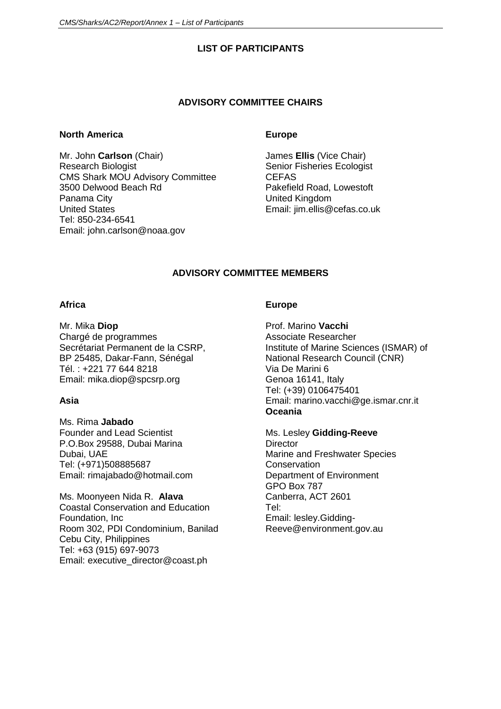## **LIST OF PARTICIPANTS**

#### **ADVISORY COMMITTEE CHAIRS**

#### **North America**

Mr. John **Carlson** (Chair) Research Biologist CMS Shark MOU Advisory Committee 3500 Delwood Beach Rd Panama City United States Tel: 850-234-6541 Email: [john.carlson@noaa.gov](mailto:john.carlson@noaa.gov)

### **Europe**

James **Ellis** (Vice Chair) Senior Fisheries Ecologist **CEFAS** Pakefield Road, Lowestoft United Kingdom Email: jim.ellis@cefas.co.uk

# **ADVISORY COMMITTEE MEMBERS**

## **Africa**

Mr. Mika **Diop** Chargé de programmes Secrétariat Permanent de la CSRP, BP 25485, Dakar-Fann, Sénégal Tél. : +221 77 644 8218 Email: [mika.diop@spcsrp.org](mailto:mika.diop@spcsrp.org)

# **Asia**

Ms. Rima **Jabado** Founder and Lead Scientist P.O.Box 29588, Dubai Marina Dubai, UAE Tel: (+971)508885687 Email: [rimajabado@hotmail.com](mailto:rimajabado@hotmail.com)

Ms. Moonyeen Nida R. **Alava** Coastal Conservation and Education Foundation, Inc Room 302, PDI Condominium, Banilad Cebu City, Philippines Tel: +63 (915) 697-9073 Email: [executive\\_director@coast.ph](mailto:executive_director@coast.ph)

## **Europe**

Prof. Marino **Vacchi** Associate Researcher Institute of Marine Sciences (ISMAR) of National Research Council (CNR) Via De Marini 6 Genoa 16141, Italy Tel: (+39) 0106475401 Email: [marino.vacchi@ge.ismar.cnr.it](mailto:marino.vacchi@ge.ismar.cnr.it) **Oceania**

Ms. Lesley **Gidding-Reeve Director** Marine and Freshwater Species **Conservation** Department of Environment GPO Box 787 Canberra, ACT 2601 Tel: Email: lesley.Gidding-Reeve@environment.gov.au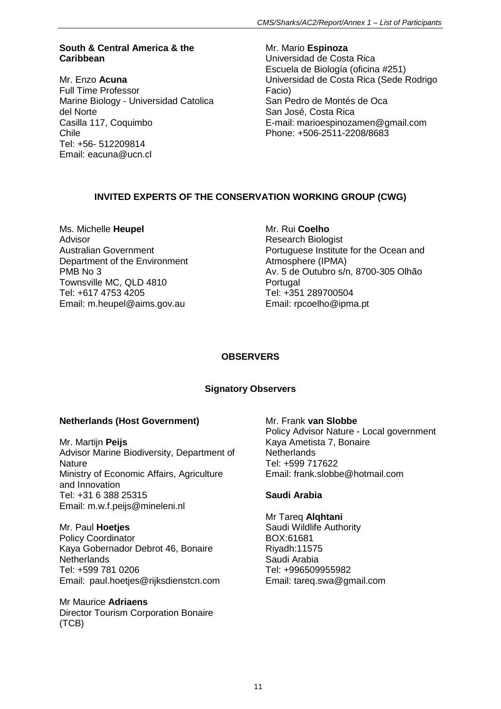## **South & Central America & the Caribbean**

Mr. Enzo **Acuna** Full Time Professor Marine Biology - Universidad Catolica del Norte Casilla 117, Coquimbo Chile Tel: +56- 512209814 Email: eacuna@ucn.cl

Mr. Mario **Espinoza** Universidad de Costa Rica Escuela de Biología (oficina #251) Universidad de Costa Rica (Sede Rodrigo Facio) San Pedro de Montés de Oca San José, Costa Rica E-mail: marioespinozamen@gmail.com Phone: +506-2511-2208/8683

# **INVITED EXPERTS OF THE CONSERVATION WORKING GROUP (CWG)**

Ms. Michelle **Heupel** Advisor Australian Government Department of the Environment PMB No 3 Townsville MC, QLD 4810 Tel: +617 4753 4205 Email: [m.heupel@aims.gov.au](mailto:m.heupel@aims.gov.au)

Mr. Rui **Coelho** Research Biologist Portuguese Institute for the Ocean and Atmosphere (IPMA) Av. 5 de Outubro s/n, 8700-305 Olhão **Portugal** Tel: +351 289700504 Email: rpcoelho@ipma.pt

# **OBSERVERS**

# **Signatory Observers**

# **Netherlands (Host Government)**

Mr. Martijn **Peijs** Advisor Marine Biodiversity, Department of **Nature** Ministry of Economic Affairs, Agriculture and Innovation Tel: +31 6 388 25315 Email: m.w.f.peijs@mineleni.nl

Mr. Paul **Hoetjes** Policy Coordinator Kaya Gobernador Debrot 46, Bonaire **Netherlands** Tel: +599 781 0206 Email: paul.hoetjes@rijksdienstcn.com

Mr Maurice **Adriaens** Director Tourism Corporation Bonaire (TCB)

Mr. Frank **van Slobbe** Policy Advisor Nature - Local government Kaya Ametista 7, Bonaire **Netherlands** Tel: +599 717622 Email: frank.slobbe@hotmail.com

## **Saudi Arabia**

Mr Tareq **Alqhtani** Saudi Wildlife Authority BOX:61681 Riyadh:11575 Saudi Arabia Tel: +996509955982 Email: tareq.swa@gmail.com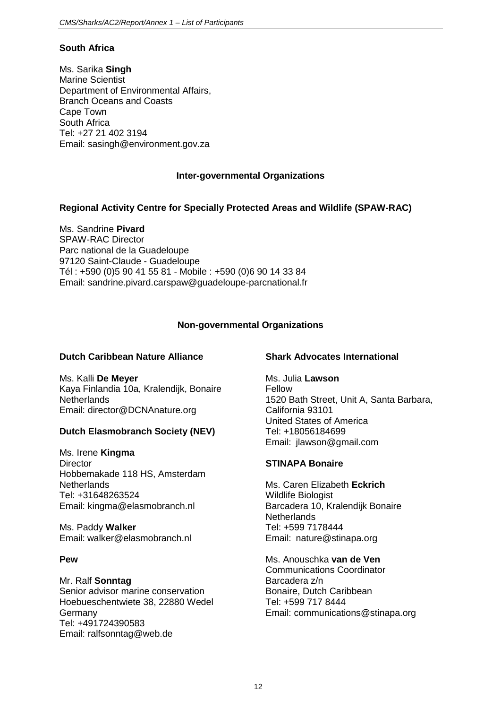## **South Africa**

Ms. Sarika **Singh** Marine Scientist Department of Environmental Affairs, Branch Oceans and Coasts Cape Town South Africa Tel: +27 21 402 3194 Email: sasingh@environment.gov.za

## **Inter-governmental Organizations**

## **Regional Activity Centre for Specially Protected Areas and Wildlife (SPAW-RAC)**

Ms. Sandrine **Pivard** SPAW-RAC Director Parc national de la Guadeloupe 97120 Saint-Claude - Guadeloupe Tél : +590 (0)5 90 41 55 81 - Mobile : +590 (0)6 90 14 33 84 Email: sandrine.pivard.carspaw@guadeloupe-parcnational.fr

# **Non-governmental Organizations**

## **Dutch Caribbean Nature Alliance**

Ms. Kalli **De Meyer** Kaya Finlandia 10a, Kralendijk, Bonaire **Netherlands** Email: director@DCNAnature.org

# **Dutch Elasmobranch Society (NEV)**

Ms. Irene **Kingma Director** Hobbemakade 118 HS, Amsterdam **Netherlands** Tel: +31648263524 Email: kingma@elasmobranch.nl

Ms. Paddy **Walker** Email: walker@elasmobranch.nl

## **Pew**

#### Mr. Ralf **Sonntag** Senior advisor marine conservation Hoebueschentwiete 38, 22880 Wedel Germany Tel: +491724390583 Email: ralfsonntag@web.de

## **Shark Advocates International**

Ms. Julia **Lawson** Fellow 1520 Bath Street, Unit A, Santa Barbara, California 93101 United States of America Tel: +18056184699 Email: jlawson@gmail.com

## **STINAPA Bonaire**

Ms. Caren Elizabeth **Eckrich** Wildlife Biologist Barcadera 10, Kralendijk Bonaire **Netherlands** Tel: +599 7178444 Email: nature@stinapa.org

Ms. Anouschka **van de Ven** Communications Coordinator Barcadera z/n Bonaire, Dutch Caribbean Tel: +599 717 8444 Email: communications@stinapa.org